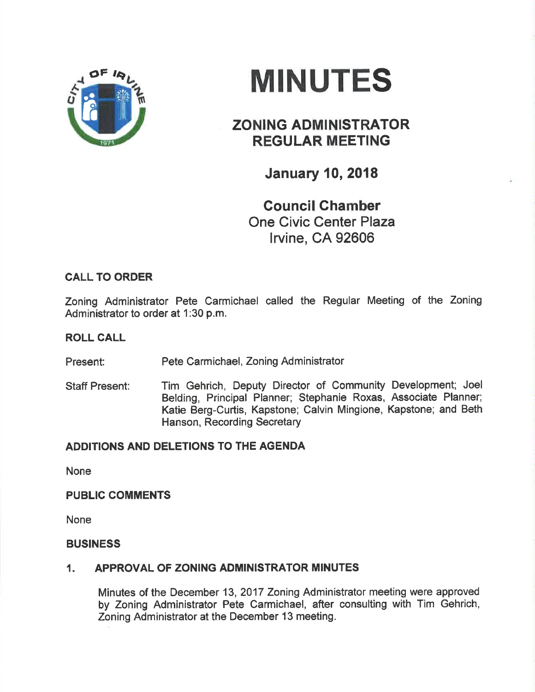

# MINUTES

## ZONING ADMINISTRATOR REGULAR MEETING

**January 10, 2018** 

Gouncil Chamber One Civic Center Plaza lrvine, CA 92606

## CALL TO ORDER

Zoning Administrator Pete Carmichael called the Regular Meeting of the Zoning Administrator to order at 1:30 p.m.

#### ROLL CALL

Present: Pete Carmichael, Zoning Administrator

Staff Present: Tim Gehrich, Deputy Director of Community Development; Joel Belding, Principal Planner; Stephanie Roxas, Associate Planner; Katie Berg-Curtis, Kapstone; Calvin Mingione, Kapstone; and Beth Hanson, Recording Secretary

## ADDITIONS AND DELETIONS TO THE AGENDA

None

#### **PUBLIC COMMENTS**

None

#### BUSINESS

## 1. APPROVAL OF ZONING ADMINISTRATOR MINUTES

Minutes of the December 13,2017 Zoning Adminístrator meeting were approved by Zoning Administrator Pete Carmichael, after consulting with Tim Gehrich, Zoning Administrator at the December 13 meeting.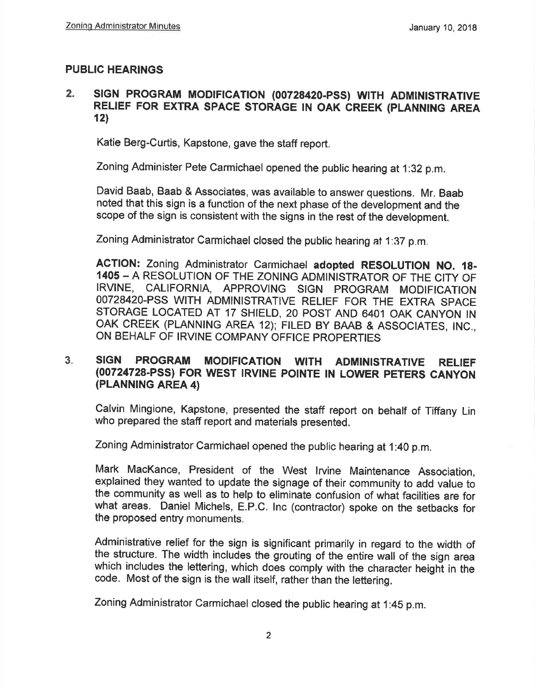#### PUBLIC HEARINGS

#### 2. SIGN PROGRAM MODIFICATION (00728420-PSS) WITH ADMINISTRATIVE RELIEF FOR EXTRA SPACE STORAGE IN OAK CREEK (PLANNING AREA  $12)$

Katie Berg-Curtis, Kapstone, gave the staff report.

Zoning Administer Pete carmichael opened the public hearing at 1:32 p.m.

David Baab, Baab & Associates, was available to answer questions. Mr. Baab noted that this sign is a function of the next phase of the development and the scope of the sign is consistent with the signs in the rest of the development.

Zoning Administrator Çarmichael closed the public hearing at 1:37 p.m,

AGTION: Zoning Administrator Carmichael adopted RESOLUTION NO. 18- 1405 - A RESOLUTION OF THE ZONING ADMINISTRATOR OF THE CITY OF IRVINE, CALIFORNIA, APPROVING SIGN PROGRAM MODIFICATION OO72842O.PSS WITH ADMINISTRATIVE RELIEF FOR THE EXTRA SPACE STORAGE LOCATED AT 17 SHIELD, 20 POST AND 6401 OAK CANYON IN OAK CREEK (PLANNING AREA 12); FILED BY BAAB & ASSOCIATES, INc., ON BEHALF OF IRVINE COMPANY OFFICE PROPERTIES

#### SIGN PROGRAM MODIFICATION WITH ADMINISTRATIVE RELIEF (00724728-PSS) FOR WEST IRVINE POINTE IN LOWER PETERS CANYON (PLANNING AREA 4) 3.

Calvin Mingione, Kapstone, presented the staff report on behalf of Tiffany Lin who prepared the staff report and materials presented.

Zoning Administrator Carmichael opened the public hearing at 1:40 p.m.

Mark MacKance, President of the West lrvine Maintenance Association, explained they wanted to update the signage of their community to add value to the community as well as to help to eliminate confusion of whai facilities are for what areas. Daniel Míchels, E.P.C. lnc (contractor) spoke on the setbacks for the proposed entry monuments.

Administrative relíef for the sign is significant primarily in regard to the width of the structure, The width includes the grouting of the entire wall of the sign area which includes the lettering, which does comply with the character height in the code. Most of the sign is the wall itself, rather than the lettering.

Zoning Administrator carmichael closed the public hearing at 1:45 p.m.